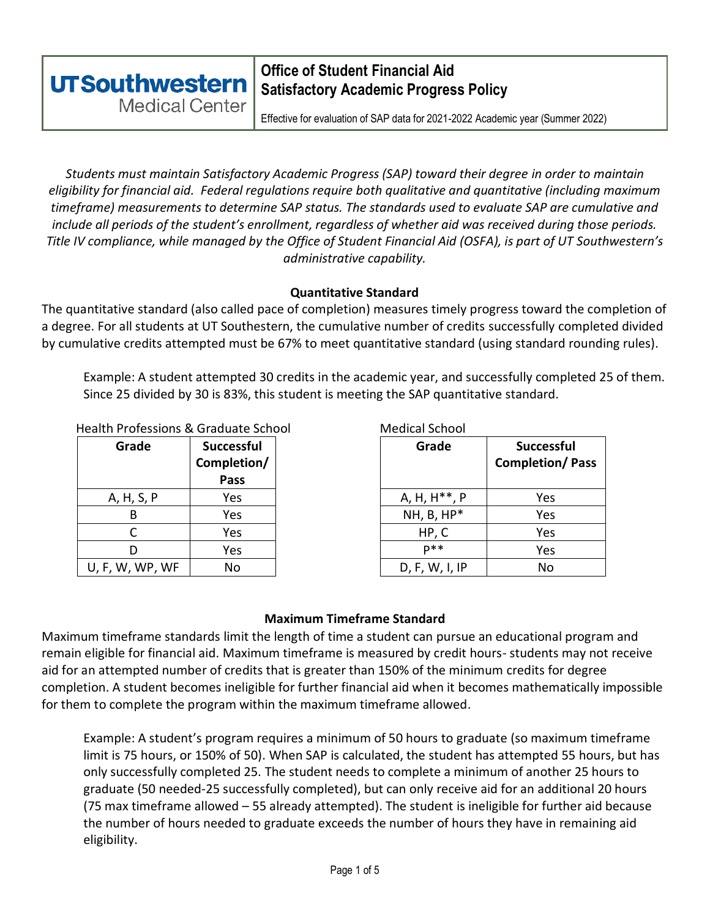#### **Office of Student Financial Aid UTSouthwestern Satisfactory Academic Progress Policy Medical Center**

Effective for evaluation of SAP data for 2021-2022 Academic year (Summer 2022)

*Students must maintain Satisfactory Academic Progress (SAP) toward their degree in order to maintain eligibility for financial aid. Federal regulations require both qualitative and quantitative (including maximum timeframe) measurements to determine SAP status. The standards used to evaluate SAP are cumulative and include all periods of the student's enrollment, regardless of whether aid was received during those periods. Title IV compliance, while managed by the Office of Student Financial Aid (OSFA), is part of UT Southwestern's administrative capability.*

#### **Quantitative Standard**

The quantitative standard (also called pace of completion) measures timely progress toward the completion of a degree. For all students at UT Southestern, the cumulative number of credits successfully completed divided by cumulative credits attempted must be 67% to meet quantitative standard (using standard rounding rules).

Example: A student attempted 30 credits in the academic year, and successfully completed 25 of them. Since 25 divided by 30 is 83%, this student is meeting the SAP quantitative standard.

#### Health Professions & Graduate School Medical School

| Grade           | Successful<br>Completion/ | Grade                     | <b>Succes</b><br>Completio |
|-----------------|---------------------------|---------------------------|----------------------------|
|                 | Pass                      |                           |                            |
| A, H, S, P      | Yes                       | A, H, H <sup>**</sup> , P | Yes                        |
| В               | Yes                       | $NH, B, HP*$              | Yes                        |
|                 | Yes                       | HP, C                     | Yes                        |
| D               | Yes                       | $D$ **                    | Yes                        |
| U, F, W, WP, WF | No                        | D, F, W, I, IP            | No                         |

| Grade       | <b>Successful</b><br>Completion/<br>Pass | Grade                     | <b>Successful</b><br><b>Completion/Pass</b> |
|-------------|------------------------------------------|---------------------------|---------------------------------------------|
| A, H, S, P  | Yes                                      | A, H, H <sup>**</sup> , P | Yes                                         |
| B           | Yes                                      | $NH, B, HP*$              | Yes                                         |
|             | Yes                                      | HP, C                     | Yes                                         |
|             | Yes                                      | $D$ **                    | Yes                                         |
| , W, WP, WF | No                                       | D, F, W, I, IP            | No                                          |

#### **Maximum Timeframe Standard**

Maximum timeframe standards limit the length of time a student can pursue an educational program and remain eligible for financial aid. Maximum timeframe is measured by credit hours- students may not receive aid for an attempted number of credits that is greater than 150% of the minimum credits for degree completion. A student becomes ineligible for further financial aid when it becomes mathematically impossible for them to complete the program within the maximum timeframe allowed.

Example: A student's program requires a minimum of 50 hours to graduate (so maximum timeframe limit is 75 hours, or 150% of 50). When SAP is calculated, the student has attempted 55 hours, but has only successfully completed 25. The student needs to complete a minimum of another 25 hours to graduate (50 needed-25 successfully completed), but can only receive aid for an additional 20 hours (75 max timeframe allowed – 55 already attempted). The student is ineligible for further aid because the number of hours needed to graduate exceeds the number of hours they have in remaining aid eligibility.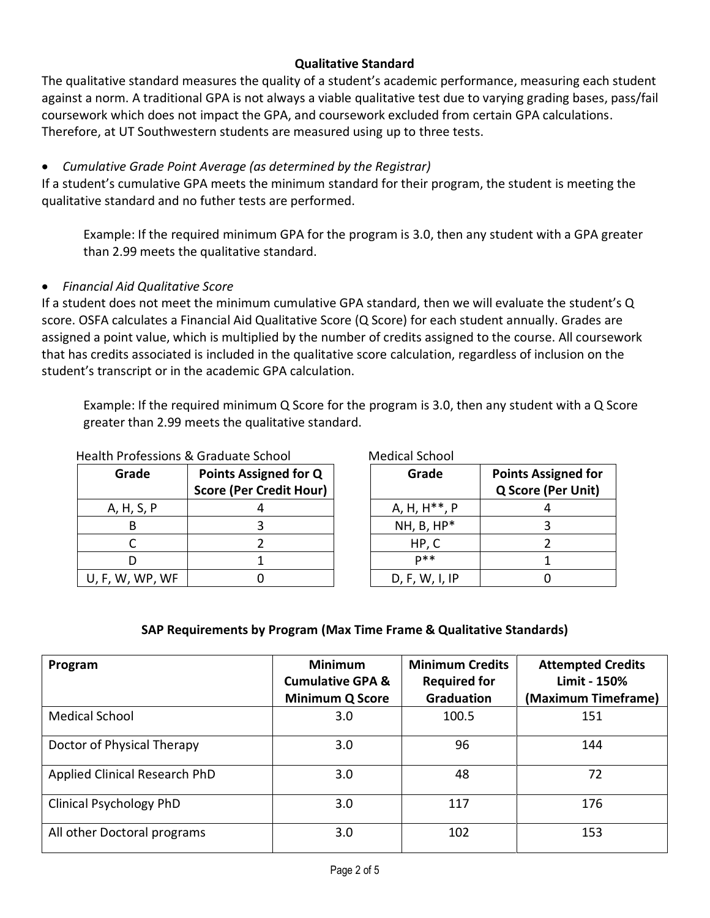## **Qualitative Standard**

The qualitative standard measures the quality of a student's academic performance, measuring each student against a norm. A traditional GPA is not always a viable qualitative test due to varying grading bases, pass/fail coursework which does not impact the GPA, and coursework excluded from certain GPA calculations. Therefore, at UT Southwestern students are measured using up to three tests.

# *Cumulative Grade Point Average (as determined by the Registrar)*

If a student's cumulative GPA meets the minimum standard for their program, the student is meeting the qualitative standard and no futher tests are performed.

Example: If the required minimum GPA for the program is 3.0, then any student with a GPA greater than 2.99 meets the qualitative standard.

#### *Financial Aid Qualitative Score*

If a student does not meet the minimum cumulative GPA standard, then we will evaluate the student's Q score. OSFA calculates a Financial Aid Qualitative Score (Q Score) for each student annually. Grades are assigned a point value, which is multiplied by the number of credits assigned to the course. All coursework that has credits associated is included in the qualitative score calculation, regardless of inclusion on the student's transcript or in the academic GPA calculation.

Example: If the required minimum Q Score for the program is 3.0, then any student with a Q Score greater than 2.99 meets the qualitative standard.

| Health Professions & Graduate School |                                                         | <b>Medical School</b>     |                                 |  |
|--------------------------------------|---------------------------------------------------------|---------------------------|---------------------------------|--|
| Grade                                | Points Assigned for Q<br><b>Score (Per Credit Hour)</b> | Grade                     | <b>Points Ass</b><br>Q Score (I |  |
| A, H, S, P                           |                                                         | A, H, H <sup>**</sup> , P | 4                               |  |
|                                      |                                                         | $NH, B, HP*$              | 3                               |  |
|                                      |                                                         | HP, C                     |                                 |  |
|                                      |                                                         | $D$ **                    |                                 |  |
| U, F, W, WP, WF                      |                                                         | D, F, W, I, IP            |                                 |  |

| Grade                     | <b>Points Assigned for</b><br>Q Score (Per Unit) |  |
|---------------------------|--------------------------------------------------|--|
| A, H, H <sup>**</sup> , P |                                                  |  |
| NH, B, HP*                | ੨                                                |  |
| HP, C                     |                                                  |  |
| <b>D**</b>                |                                                  |  |
| D, F, W, I, IP            |                                                  |  |

#### **SAP Requirements by Program (Max Time Frame & Qualitative Standards)**

| Program                        | <b>Minimum</b><br><b>Cumulative GPA &amp;</b> | <b>Minimum Credits</b><br><b>Required for</b> | <b>Attempted Credits</b><br>Limit - 150% |
|--------------------------------|-----------------------------------------------|-----------------------------------------------|------------------------------------------|
|                                | <b>Minimum Q Score</b>                        | <b>Graduation</b>                             | (Maximum Timeframe)                      |
| <b>Medical School</b>          | 3.0                                           | 100.5                                         | 151                                      |
| Doctor of Physical Therapy     | 3.0                                           | 96                                            | 144                                      |
| Applied Clinical Research PhD  | 3.0                                           | 48                                            | 72                                       |
| <b>Clinical Psychology PhD</b> | 3.0                                           | 117                                           | 176                                      |
| All other Doctoral programs    | 3.0                                           | 102                                           | 153                                      |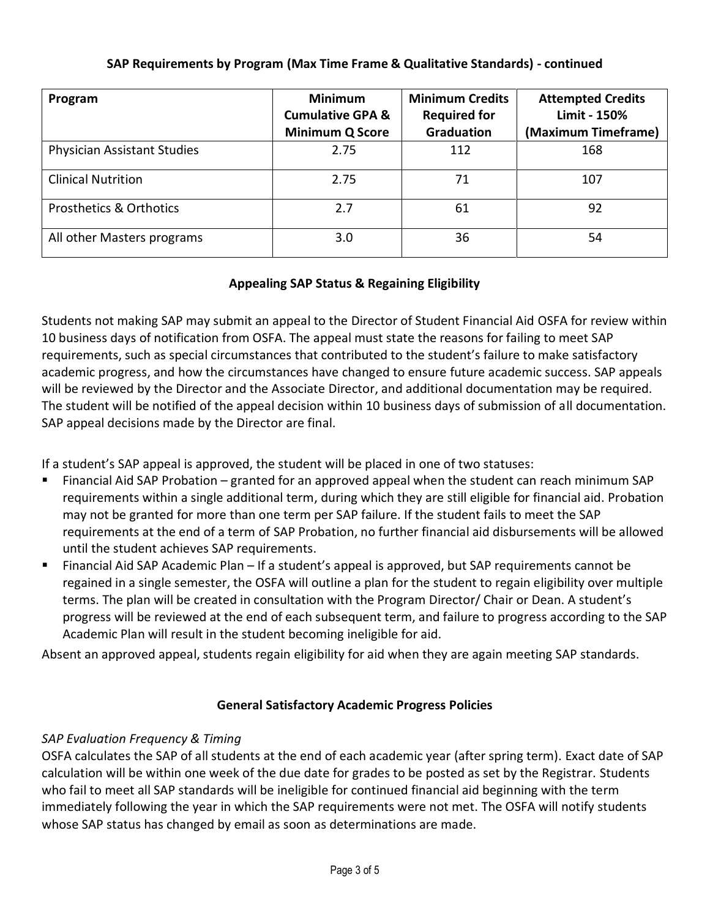| Program                            | <b>Minimum</b><br><b>Cumulative GPA &amp;</b><br><b>Minimum Q Score</b> | <b>Minimum Credits</b><br><b>Required for</b><br><b>Graduation</b> | <b>Attempted Credits</b><br>Limit - 150%<br>(Maximum Timeframe) |
|------------------------------------|-------------------------------------------------------------------------|--------------------------------------------------------------------|-----------------------------------------------------------------|
| <b>Physician Assistant Studies</b> | 2.75                                                                    | 112                                                                | 168                                                             |
| <b>Clinical Nutrition</b>          | 2.75                                                                    | 71                                                                 | 107                                                             |
| <b>Prosthetics &amp; Orthotics</b> | 2.7                                                                     | 61                                                                 | 92                                                              |
| All other Masters programs         | 3.0                                                                     | 36                                                                 | 54                                                              |

## **SAP Requirements by Program (Max Time Frame & Qualitative Standards) - continued**

# **Appealing SAP Status & Regaining Eligibility**

Students not making SAP may submit an appeal to the Director of Student Financial Aid OSFA for review within 10 business days of notification from OSFA. The appeal must state the reasons for failing to meet SAP requirements, such as special circumstances that contributed to the student's failure to make satisfactory academic progress, and how the circumstances have changed to ensure future academic success. SAP appeals will be reviewed by the Director and the Associate Director, and additional documentation may be required. The student will be notified of the appeal decision within 10 business days of submission of all documentation. SAP appeal decisions made by the Director are final.

If a student's SAP appeal is approved, the student will be placed in one of two statuses:

- Financial Aid SAP Probation granted for an approved appeal when the student can reach minimum SAP requirements within a single additional term, during which they are still eligible for financial aid. Probation may not be granted for more than one term per SAP failure. If the student fails to meet the SAP requirements at the end of a term of SAP Probation, no further financial aid disbursements will be allowed until the student achieves SAP requirements.
- Financial Aid SAP Academic Plan If a student's appeal is approved, but SAP requirements cannot be regained in a single semester, the OSFA will outline a plan for the student to regain eligibility over multiple terms. The plan will be created in consultation with the Program Director/ Chair or Dean. A student's progress will be reviewed at the end of each subsequent term, and failure to progress according to the SAP Academic Plan will result in the student becoming ineligible for aid.

Absent an approved appeal, students regain eligibility for aid when they are again meeting SAP standards.

#### **General Satisfactory Academic Progress Policies**

#### *SAP Evaluation Frequency & Timing*

OSFA calculates the SAP of all students at the end of each academic year (after spring term). Exact date of SAP calculation will be within one week of the due date for grades to be posted as set by the Registrar. Students who fail to meet all SAP standards will be ineligible for continued financial aid beginning with the term immediately following the year in which the SAP requirements were not met. The OSFA will notify students whose SAP status has changed by email as soon as determinations are made.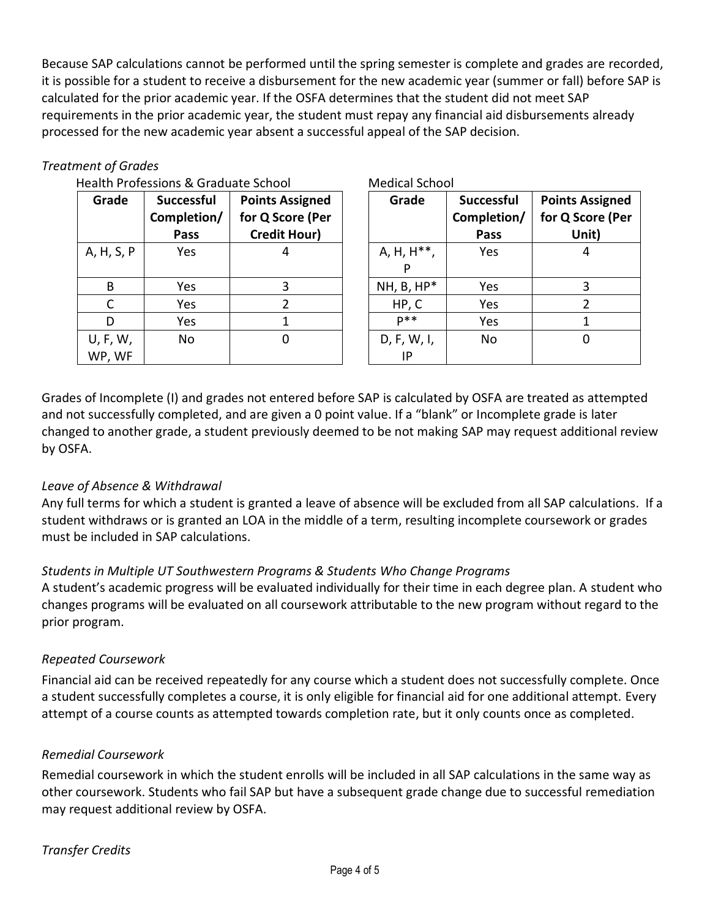Because SAP calculations cannot be performed until the spring semester is complete and grades are recorded, it is possible for a student to receive a disbursement for the new academic year (summer or fall) before SAP is calculated for the prior academic year. If the OSFA determines that the student did not meet SAP requirements in the prior academic year, the student must repay any financial aid disbursements already processed for the new academic year absent a successful appeal of the SAP decision.

# *Treatment of Grades*

|                    | Health Professions & Graduate School |                                                                   |                         | <b>Medical School</b>             |                                     |
|--------------------|--------------------------------------|-------------------------------------------------------------------|-------------------------|-----------------------------------|-------------------------------------|
| Grade              | Successful<br>Completion/<br>Pass    | <b>Points Assigned</b><br>for Q Score (Per<br><b>Credit Hour)</b> | Grade                   | Successful<br>Completion/<br>Pass | <b>Points As</b><br>for Q Sco<br>Un |
| A, H, S, P         | <b>Yes</b>                           |                                                                   | A, H, H <sup>**</sup> , | Yes                               | $\overline{4}$                      |
| B                  | Yes                                  | 3                                                                 | $NH, B, HP*$            | Yes                               | 3                                   |
|                    | Yes                                  |                                                                   | HP, C                   | Yes                               | $\overline{2}$                      |
| D                  | Yes                                  |                                                                   | $D$ **                  | Yes                               | 1                                   |
| U, F, W,<br>WP, WF | No                                   | 0                                                                 | D, F, W, I,<br>IP       | No                                | 0                                   |

| Medical School          |                                  |                                            |  |  |
|-------------------------|----------------------------------|--------------------------------------------|--|--|
| Grade                   | <b>Successful</b><br>Completion/ | <b>Points Assigned</b><br>for Q Score (Per |  |  |
|                         | Pass                             | Unit)                                      |  |  |
| A, H, H <sup>**</sup> , | Yes                              | 4                                          |  |  |
|                         |                                  |                                            |  |  |
| $NH, B, HP*$            | Yes                              | 3                                          |  |  |
| HP, C                   | Yes                              | 2                                          |  |  |
| $p**$                   | Yes                              | 1                                          |  |  |
| D, F, W, I,             | No                               |                                            |  |  |
|                         |                                  |                                            |  |  |

Grades of Incomplete (I) and grades not entered before SAP is calculated by OSFA are treated as attempted and not successfully completed, and are given a 0 point value. If a "blank" or Incomplete grade is later changed to another grade, a student previously deemed to be not making SAP may request additional review by OSFA.

# *Leave of Absence & Withdrawal*

Any full terms for which a student is granted a leave of absence will be excluded from all SAP calculations. If a student withdraws or is granted an LOA in the middle of a term, resulting incomplete coursework or grades must be included in SAP calculations.

#### *Students in Multiple UT Southwestern Programs & Students Who Change Programs*

A student's academic progress will be evaluated individually for their time in each degree plan. A student who changes programs will be evaluated on all coursework attributable to the new program without regard to the prior program.

#### *Repeated Coursework*

Financial aid can be received repeatedly for any course which a student does not successfully complete. Once a student successfully completes a course, it is only eligible for financial aid for one additional attempt. Every attempt of a course counts as attempted towards completion rate, but it only counts once as completed.

#### *Remedial Coursework*

Remedial coursework in which the student enrolls will be included in all SAP calculations in the same way as other coursework. Students who fail SAP but have a subsequent grade change due to successful remediation may request additional review by OSFA.